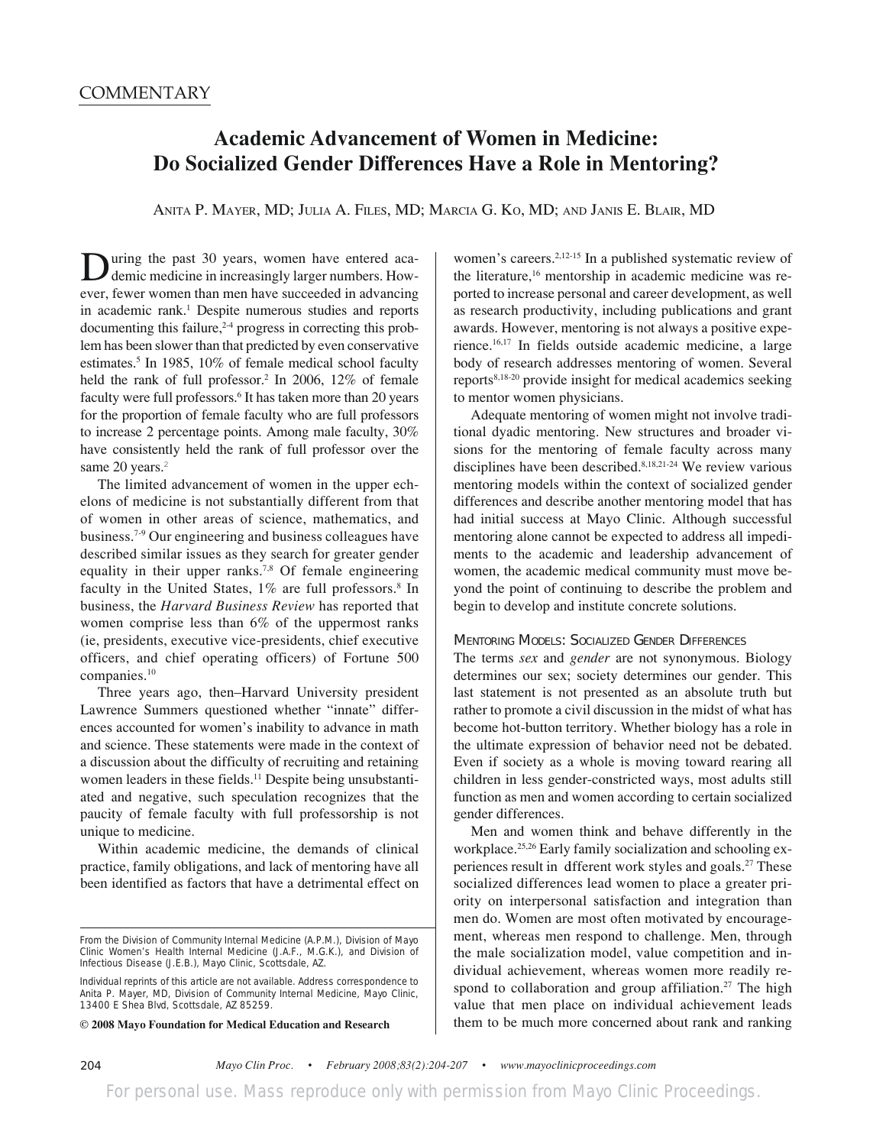## COMMENTARY

# **Academic Advancement of Women in Medicine: Do Socialized Gender Differences Have a Role in Mentoring?**

ANITA P. MAYER, MD; JULIA A. FILES, MD; MARCIA G. KO, MD; AND JANIS E. BLAIR, MD

During the past 30 years, women have entered aca-demic medicine in increasingly larger numbers. However, fewer women than men have succeeded in advancing in academic rank.<sup>1</sup> Despite numerous studies and reports documenting this failure,<sup>2-4</sup> progress in correcting this problem has been slower than that predicted by even conservative estimates.<sup>5</sup> In 1985, 10% of female medical school faculty held the rank of full professor.<sup>2</sup> In 2006, 12% of female faculty were full professors.<sup>6</sup> It has taken more than 20 years for the proportion of female faculty who are full professors to increase 2 percentage points. Among male faculty, 30% have consistently held the rank of full professor over the same 20 years.<sup>2</sup>

The limited advancement of women in the upper echelons of medicine is not substantially different from that of women in other areas of science, mathematics, and business.7-9 Our engineering and business colleagues have described similar issues as they search for greater gender equality in their upper ranks.<sup>7,8</sup> Of female engineering faculty in the United States, 1% are full professors.<sup>8</sup> In business, the *Harvard Business Review* has reported that women comprise less than 6% of the uppermost ranks (ie, presidents, executive vice-presidents, chief executive officers, and chief operating officers) of Fortune 500 companies.<sup>10</sup>

Three years ago, then–Harvard University president Lawrence Summers questioned whether "innate" differences accounted for women's inability to advance in math and science. These statements were made in the context of a discussion about the difficulty of recruiting and retaining women leaders in these fields.<sup>11</sup> Despite being unsubstantiated and negative, such speculation recognizes that the paucity of female faculty with full professorship is not unique to medicine.

Within academic medicine, the demands of clinical practice, family obligations, and lack of mentoring have all been identified as factors that have a detrimental effect on

**© 2008 Mayo Foundation for Medical Education and Research**

women's careers.<sup>2,12-15</sup> In a published systematic review of the literature,<sup>16</sup> mentorship in academic medicine was reported to increase personal and career development, as well as research productivity, including publications and grant awards. However, mentoring is not always a positive experience.16,17 In fields outside academic medicine, a large body of research addresses mentoring of women. Several reports<sup>8,18-20</sup> provide insight for medical academics seeking to mentor women physicians.

Adequate mentoring of women might not involve traditional dyadic mentoring. New structures and broader visions for the mentoring of female faculty across many disciplines have been described.<sup>8,18,21-24</sup> We review various mentoring models within the context of socialized gender differences and describe another mentoring model that has had initial success at Mayo Clinic. Although successful mentoring alone cannot be expected to address all impediments to the academic and leadership advancement of women, the academic medical community must move beyond the point of continuing to describe the problem and begin to develop and institute concrete solutions.

### MENTORING MODELS: SOCIALIZED GENDER DIFFERENCES

The terms *sex* and *gender* are not synonymous. Biology determines our sex; society determines our gender. This last statement is not presented as an absolute truth but rather to promote a civil discussion in the midst of what has become hot-button territory. Whether biology has a role in the ultimate expression of behavior need not be debated. Even if society as a whole is moving toward rearing all children in less gender-constricted ways, most adults still function as men and women according to certain socialized gender differences.

Men and women think and behave differently in the workplace.<sup>25,26</sup> Early family socialization and schooling experiences result in different work styles and goals.<sup>27</sup> These socialized differences lead women to place a greater priority on interpersonal satisfaction and integration than men do. Women are most often motivated by encouragement, whereas men respond to challenge. Men, through the male socialization model, value competition and individual achievement, whereas women more readily respond to collaboration and group affiliation.<sup>27</sup> The high value that men place on individual achievement leads them to be much more concerned about rank and ranking

204 *Mayo Clin Proc. • February 2008;83(2):204-207 • www.mayoclinicproceedings.com*

For personal use. Mass reproduce only with permission from *Mayo Clinic Proceedings.*

From the Division of Community Internal Medicine (A.P.M.), Division of Mayo Clinic Women's Health Internal Medicine (J.A.F., M.G.K.), and Division of Infectious Disease (J.E.B.), Mayo Clinic, Scottsdale, AZ.

Individual reprints of this article are not available. Address correspondence to Anita P. Mayer, MD, Division of Community Internal Medicine, Mayo Clinic, 13400 E Shea Blvd, Scottsdale, AZ 85259.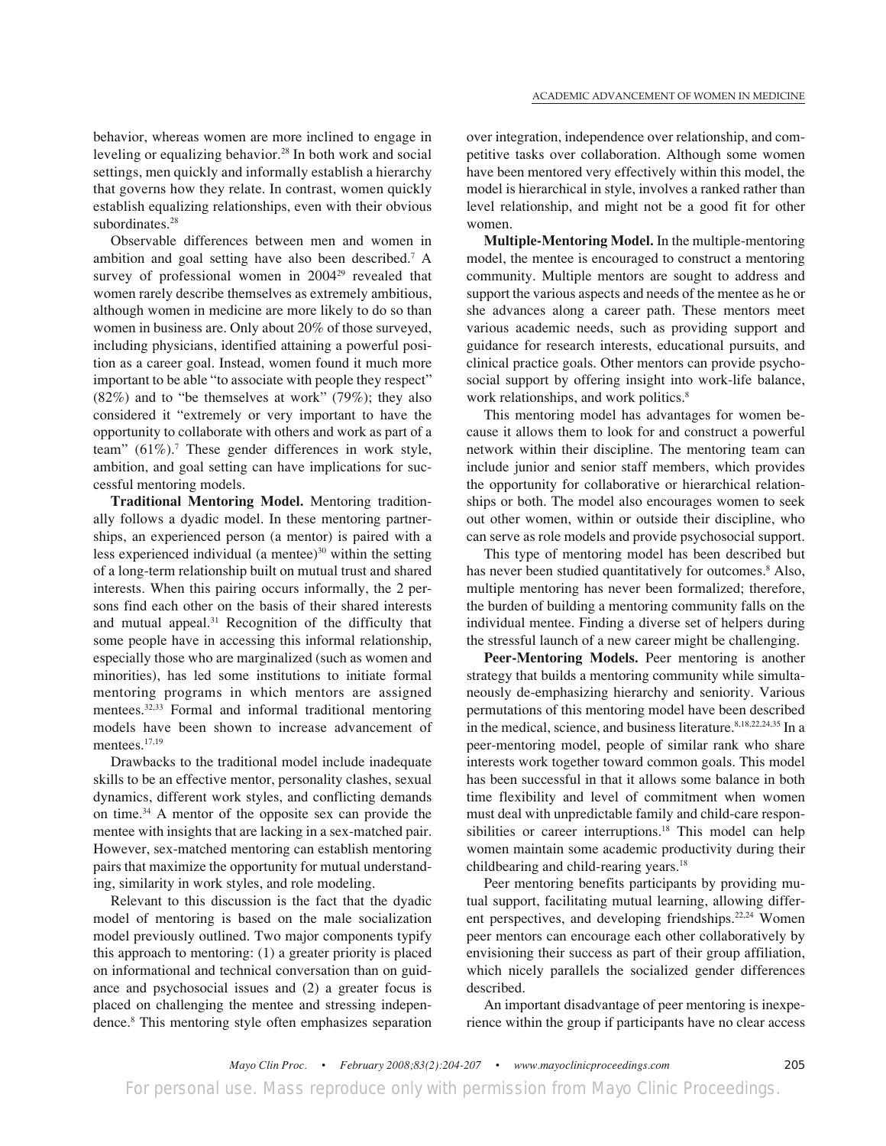behavior, whereas women are more inclined to engage in leveling or equalizing behavior.28 In both work and social settings, men quickly and informally establish a hierarchy that governs how they relate. In contrast, women quickly establish equalizing relationships, even with their obvious subordinates.<sup>28</sup>

Observable differences between men and women in ambition and goal setting have also been described.<sup>7</sup> A survey of professional women in 2004<sup>29</sup> revealed that women rarely describe themselves as extremely ambitious, although women in medicine are more likely to do so than women in business are. Only about 20% of those surveyed, including physicians, identified attaining a powerful position as a career goal. Instead, women found it much more important to be able "to associate with people they respect"  $(82\%)$  and to "be themselves at work"  $(79\%)$ ; they also considered it "extremely or very important to have the opportunity to collaborate with others and work as part of a team"  $(61\%)$ . These gender differences in work style, ambition, and goal setting can have implications for successful mentoring models.

**Traditional Mentoring Model.** Mentoring traditionally follows a dyadic model. In these mentoring partnerships, an experienced person (a mentor) is paired with a less experienced individual (a mentee) $30$  within the setting of a long-term relationship built on mutual trust and shared interests. When this pairing occurs informally, the 2 persons find each other on the basis of their shared interests and mutual appeal.31 Recognition of the difficulty that some people have in accessing this informal relationship, especially those who are marginalized (such as women and minorities), has led some institutions to initiate formal mentoring programs in which mentors are assigned mentees.32,33 Formal and informal traditional mentoring models have been shown to increase advancement of mentees.17,19

Drawbacks to the traditional model include inadequate skills to be an effective mentor, personality clashes, sexual dynamics, different work styles, and conflicting demands on time.34 A mentor of the opposite sex can provide the mentee with insights that are lacking in a sex-matched pair. However, sex-matched mentoring can establish mentoring pairs that maximize the opportunity for mutual understanding, similarity in work styles, and role modeling.

Relevant to this discussion is the fact that the dyadic model of mentoring is based on the male socialization model previously outlined. Two major components typify this approach to mentoring: (1) a greater priority is placed on informational and technical conversation than on guidance and psychosocial issues and (2) a greater focus is placed on challenging the mentee and stressing independence.8 This mentoring style often emphasizes separation

over integration, independence over relationship, and competitive tasks over collaboration. Although some women have been mentored very effectively within this model, the model is hierarchical in style, involves a ranked rather than level relationship, and might not be a good fit for other women.

**Multiple-Mentoring Model.** In the multiple-mentoring model, the mentee is encouraged to construct a mentoring community. Multiple mentors are sought to address and support the various aspects and needs of the mentee as he or she advances along a career path. These mentors meet various academic needs, such as providing support and guidance for research interests, educational pursuits, and clinical practice goals. Other mentors can provide psychosocial support by offering insight into work-life balance, work relationships, and work politics.<sup>8</sup>

This mentoring model has advantages for women because it allows them to look for and construct a powerful network within their discipline. The mentoring team can include junior and senior staff members, which provides the opportunity for collaborative or hierarchical relationships or both. The model also encourages women to seek out other women, within or outside their discipline, who can serve as role models and provide psychosocial support.

This type of mentoring model has been described but has never been studied quantitatively for outcomes.<sup>8</sup> Also, multiple mentoring has never been formalized; therefore, the burden of building a mentoring community falls on the individual mentee. Finding a diverse set of helpers during the stressful launch of a new career might be challenging.

**Peer-Mentoring Models.** Peer mentoring is another strategy that builds a mentoring community while simultaneously de-emphasizing hierarchy and seniority. Various permutations of this mentoring model have been described in the medical, science, and business literature. 8,18,22,24,35 In a peer-mentoring model, people of similar rank who share interests work together toward common goals. This model has been successful in that it allows some balance in both time flexibility and level of commitment when women must deal with unpredictable family and child-care responsibilities or career interruptions.<sup>18</sup> This model can help women maintain some academic productivity during their childbearing and child-rearing years.<sup>18</sup>

Peer mentoring benefits participants by providing mutual support, facilitating mutual learning, allowing different perspectives, and developing friendships.<sup>22,24</sup> Women peer mentors can encourage each other collaboratively by envisioning their success as part of their group affiliation, which nicely parallels the socialized gender differences described.

An important disadvantage of peer mentoring is inexperience within the group if participants have no clear access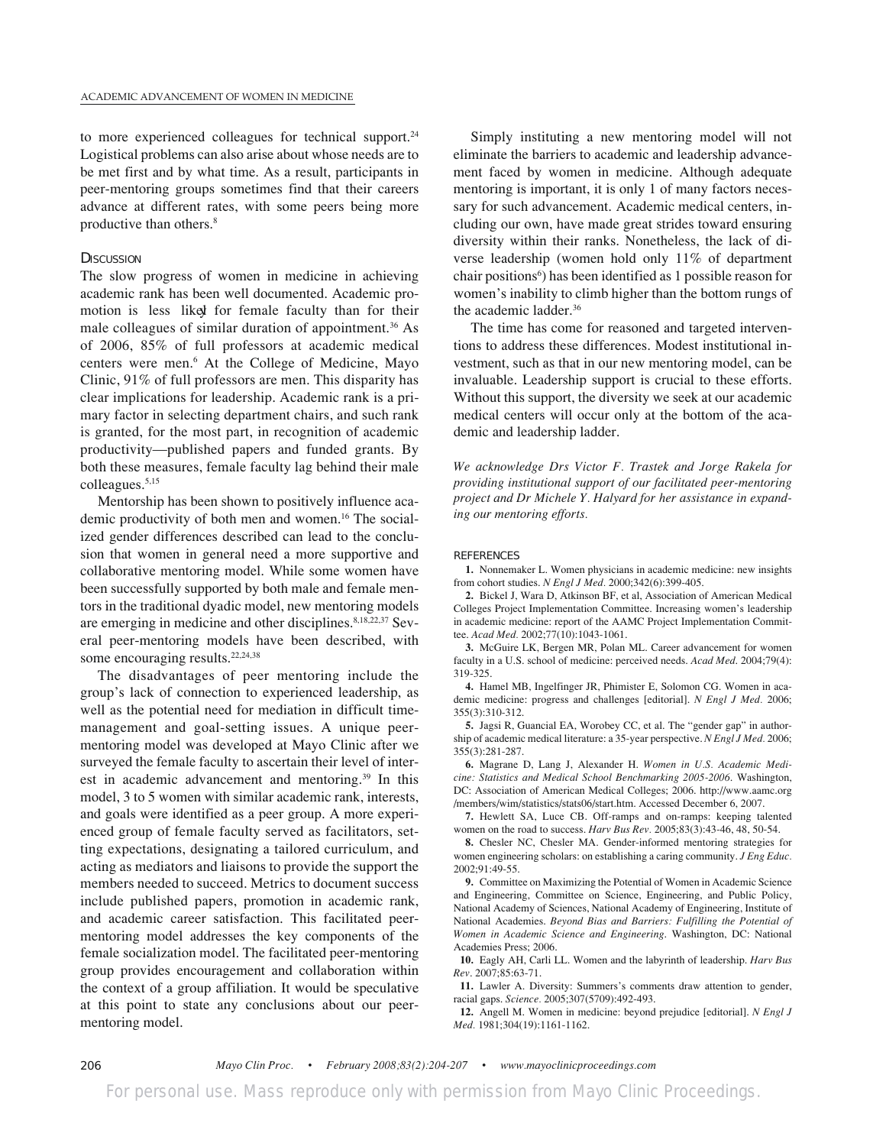to more experienced colleagues for technical support.<sup>24</sup> Logistical problems can also arise about whose needs are to be met first and by what time. As a result, participants in peer-mentoring groups sometimes find that their careers advance at different rates, with some peers being more productive than others.<sup>8</sup>

#### **DISCUSSION**

The slow progress of women in medicine in achieving academic rank has been well documented. Academic promotion is less likel for female faculty than for their male colleagues of similar duration of appointment.<sup>36</sup> As of 2006, 85% of full professors at academic medical centers were men.<sup>6</sup> At the College of Medicine, Mayo Clinic, 91% of full professors are men. This disparity has clear implications for leadership. Academic rank is a primary factor in selecting department chairs, and such rank is granted, for the most part, in recognition of academic productivity—published papers and funded grants. By both these measures, female faculty lag behind their male colleagues.5,15

Mentorship has been shown to positively influence academic productivity of both men and women.16 The socialized gender differences described can lead to the conclusion that women in general need a more supportive and collaborative mentoring model. While some women have been successfully supported by both male and female mentors in the traditional dyadic model, new mentoring models are emerging in medicine and other disciplines.<sup>8,18,22,37</sup> Several peer-mentoring models have been described, with some encouraging results.<sup>22,24,38</sup>

The disadvantages of peer mentoring include the group's lack of connection to experienced leadership, as well as the potential need for mediation in difficult timemanagement and goal-setting issues. A unique peermentoring model was developed at Mayo Clinic after we surveyed the female faculty to ascertain their level of interest in academic advancement and mentoring.<sup>39</sup> In this model, 3 to 5 women with similar academic rank, interests, and goals were identified as a peer group. A more experienced group of female faculty served as facilitators, setting expectations, designating a tailored curriculum, and acting as mediators and liaisons to provide the support the members needed to succeed. Metrics to document success include published papers, promotion in academic rank, and academic career satisfaction. This facilitated peermentoring model addresses the key components of the female socialization model. The facilitated peer-mentoring group provides encouragement and collaboration within the context of a group affiliation. It would be speculative at this point to state any conclusions about our peermentoring model.

Simply instituting a new mentoring model will not eliminate the barriers to academic and leadership advancement faced by women in medicine. Although adequate mentoring is important, it is only 1 of many factors necessary for such advancement. Academic medical centers, including our own, have made great strides toward ensuring diversity within their ranks. Nonetheless, the lack of diverse leadership (women hold only 11% of department chair positions<sup>6</sup>) has been identified as 1 possible reason for women's inability to climb higher than the bottom rungs of the academic ladder.<sup>36</sup>

The time has come for reasoned and targeted interventions to address these differences. Modest institutional investment, such as that in our new mentoring model, can be invaluable. Leadership support is crucial to these efforts. Without this support, the diversity we seek at our academic medical centers will occur only at the bottom of the academic and leadership ladder.

*We acknowledge Drs Victor F. Trastek and Jorge Rakela for providing institutional support of our facilitated peer-mentoring project and Dr Michele Y. Halyard for her assistance in expanding our mentoring efforts.*

#### **REFERENCES**

**1.** Nonnemaker L. Women physicians in academic medicine: new insights from cohort studies. *N Engl J Med.* 2000;342(6):399-405.

**2.** Bickel J, Wara D, Atkinson BF, et al, Association of American Medical Colleges Project Implementation Committee. Increasing women's leadership in academic medicine: report of the AAMC Project Implementation Committee. *Acad Med.* 2002;77(10):1043-1061.

**3.** McGuire LK, Bergen MR, Polan ML. Career advancement for women faculty in a U.S. school of medicine: perceived needs. *Acad Med*. 2004;79(4): 319-325.

**4.** Hamel MB, Ingelfinger JR, Phimister E, Solomon CG. Women in academic medicine: progress and challenges [editorial]. *N Engl J Med.* 2006; 355(3):310-312.

**5.** Jagsi R, Guancial EA, Worobey CC, et al. The "gender gap" in authorship of academic medical literature: a 35-year perspective. *N Engl J Med.* 2006; 355(3):281-287.

**6.** Magrane D, Lang J, Alexander H. *Women in U.S. Academic Medicine: Statistics and Medical School Benchmarking 2005-2006*. Washington, DC: Association of American Medical Colleges; 2006. http://www.aamc.org /members/wim/statistics/stats06/start.htm. Accessed December 6, 2007.

**7.** Hewlett SA, Luce CB. Off-ramps and on-ramps: keeping talented women on the road to success. *Harv Bus Rev.* 2005;83(3):43-46, 48, 50-54.

**8.** Chesler NC, Chesler MA. Gender-informed mentoring strategies for women engineering scholars: on establishing a caring community. *J Eng Educ.* 2002;91:49-55.

**9.** Committee on Maximizing the Potential of Women in Academic Science and Engineering, Committee on Science, Engineering, and Public Policy, National Academy of Sciences, National Academy of Engineering, Institute of National Academies. *Beyond Bias and Barriers: Fulfilling the Potential of Women in Academic Science and Engineering*. Washington, DC: National Academies Press; 2006.

**10.** Eagly AH, Carli LL. Women and the labyrinth of leadership. *Harv Bus Rev*. 2007;85:63-71.

**11.** Lawler A. Diversity: Summers's comments draw attention to gender, racial gaps. *Science.* 2005;307(5709):492-493.

**12.** Angell M. Women in medicine: beyond prejudice [editorial]. *N Engl J Med.* 1981;304(19):1161-1162.

206 *Mayo Clin Proc. • February 2008;83(2):204-207 • www.mayoclinicproceedings.com*

For personal use. Mass reproduce only with permission from *Mayo Clinic Proceedings.*